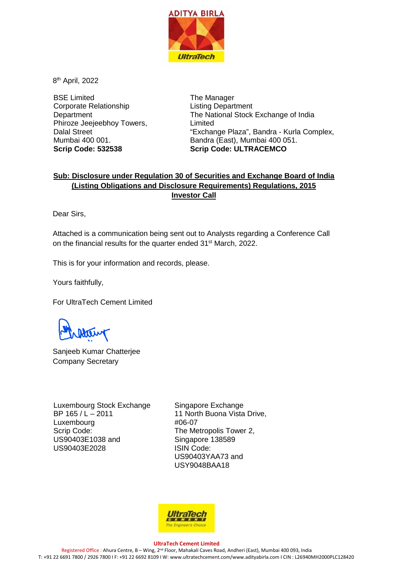

8th April, 2022

BSE Limited Corporate Relationship **Department** Phiroze Jeejeebhoy Towers, Dalal Street Mumbai 400 001. **Scrip Code: 532538**

The Manager Listing Department The National Stock Exchange of India Limited "Exchange Plaza", Bandra - Kurla Complex, Bandra (East), Mumbai 400 051. **Scrip Code: ULTRACEMCO**

## **Sub: Disclosure under Regulation 30 of Securities and Exchange Board of India (Listing Obligations and Disclosure Requirements) Regulations, 2015 Investor Call**

Dear Sirs,

Attached is a communication being sent out to Analysts regarding a Conference Call on the financial results for the quarter ended 31<sup>st</sup> March, 2022.

This is for your information and records, please.

Yours faithfully,

For UltraTech Cement Limited

Sanjeeb Kumar Chatterjee Company Secretary

Luxembourg Stock Exchange BP 165 / L – 2011 Luxembourg Scrip Code: US90403E1038 and US90403E2028

Singapore Exchange 11 North Buona Vista Drive, #06-07 The Metropolis Tower 2, Singapore 138589 ISIN Code: US90403YAA73 and USY9048BAA18



**UltraTech Cement Limited** Registered Office : Ahura Centre, B - Wing, 2<sup>nd</sup> Floor, Mahakali Caves Road, Andheri (East), Mumbai 400 093, India T: +91 22 6691 7800 / 2926 7800 I F: +91 22 6692 8109 I W[: www.ultratechcement.com/www.adityabirla.com](http://www.ultratechcement.com/www.adityabirla.com) I CIN : L26940MH2000PLC128420